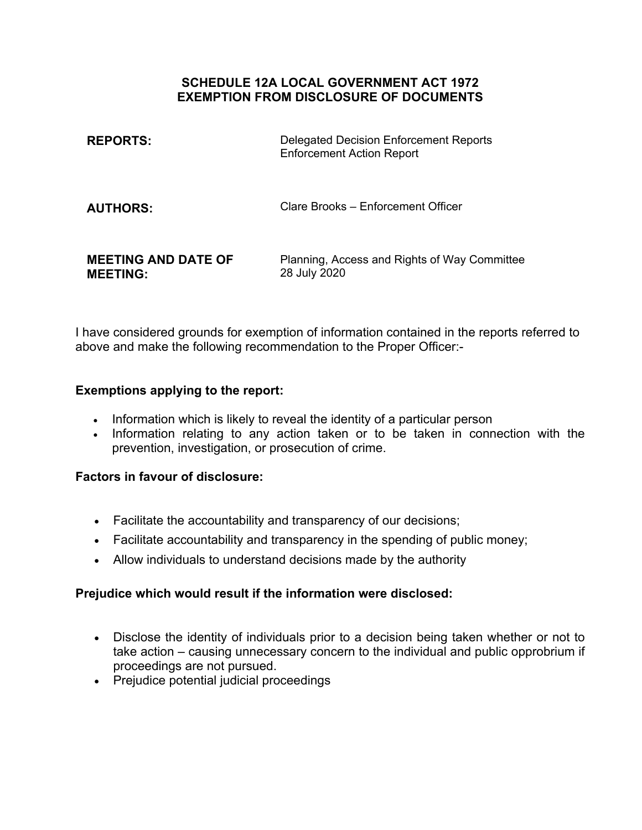## **SCHEDULE 12A LOCAL GOVERNMENT ACT 1972 EXEMPTION FROM DISCLOSURE OF DOCUMENTS**

| <b>REPORTS:</b>                               | <b>Delegated Decision Enforcement Reports</b><br><b>Enforcement Action Report</b> |
|-----------------------------------------------|-----------------------------------------------------------------------------------|
| <b>AUTHORS:</b>                               | Clare Brooks – Enforcement Officer                                                |
| <b>MEETING AND DATE OF</b><br><b>MEETING:</b> | Planning, Access and Rights of Way Committee<br>28 July 2020                      |

I have considered grounds for exemption of information contained in the reports referred to above and make the following recommendation to the Proper Officer:-

# **Exemptions applying to the report:**

- Information which is likely to reveal the identity of a particular person
- Information relating to any action taken or to be taken in connection with the prevention, investigation, or prosecution of crime.

## **Factors in favour of disclosure:**

- Facilitate the accountability and transparency of our decisions;
- Facilitate accountability and transparency in the spending of public money;
- Allow individuals to understand decisions made by the authority

## **Prejudice which would result if the information were disclosed:**

- Disclose the identity of individuals prior to a decision being taken whether or not to take action – causing unnecessary concern to the individual and public opprobrium if proceedings are not pursued.
- Prejudice potential judicial proceedings